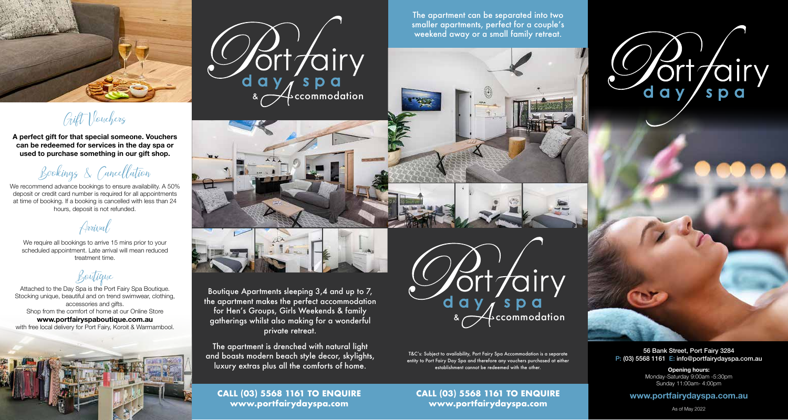

Gift Vouchers

**A perfect gift for that special someone. Vouchers can be redeemed for services in the day spa or used to purchase something in our gift shop.**

Bookings & Cancellation

We recommend advance bookings to ensure availability. A 50% deposit or credit card number is required for all appointments at time of booking. If a booking is cancelled with less than 24 hours, deposit is not refunded.

Arrival

We require all bookings to arrive 15 mins prior to your scheduled appointment. Late arrival will mean reduced treatment time.

Boutique

Attached to the Day Spa is the Port Fairy Spa Boutique. Stocking unique, beautiful and on trend swimwear, clothing, accessories and gifts. Shop from the comfort of home at our Online Store **www.portfairyspaboutique.com.au**  with free local delivery for Port Fairy, Koroit & Warrnambool.





The apartment can be separated into two smaller apartments, perfect for a couple's weekend away or a small family retreat.



Boutique Apartments sleeping 3,4 and up to 7, the apartment makes the perfect accommodation for Hen's Groups, Girls Weekends & family gatherings whilst also making for a wonderful private retreat.

The apartment is drenched with natural light and boasts modern beach style decor, skylights, luxury extras plus all the comforts of home.

**CALL (03) 5568 1161 TO ENQUIRE www.portfairydayspa.com**



T&C's: Subject to availability, Port Fairy Spa Accommodation is a separate entity to Port Fairy Day Spa and therefore any vouchers purchased at either establishment cannot be redeemed with the other.

**CALL (03) 5568 1161 TO ENQUIRE www.portfairydayspa.com**



56 Bank Street, Port Fairy 3284 P: (03) 5568 1161 E: info@portfairydayspa.com.au

> **Opening hours:**  Monday-Saturday 9:00am -5:30pm Sunday 11:00am- 4:00pm

# **www.portfairydayspa.com.au**